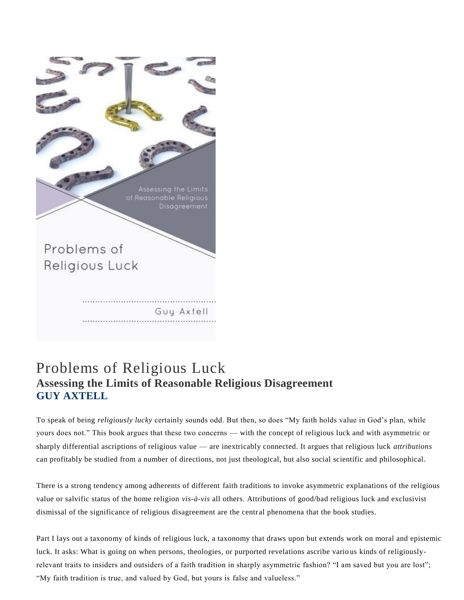Assessing the Limits of Reasonable Religious Disagreement

Problems of Religious Luck

# Guy Axtell

## Problems of Religious Luck **Assessing the Limits of Reasonable Religious Disagreement GUY AXTELL**

To speak of being *religiously lucky* certainly sounds odd. But then, so does "My faith holds value in God's plan, while yours does not." This book argues that these two concerns — with the concept of religious luck and with asymmetric or sharply differential ascriptions of religious value — are inextricably connected. It argues that religious luck *attributions* can profitably be studied from a number of directions, not just theological, but also social scientific and philosophical.

There is a strong tendency among adherents of different faith traditions to invoke asymmetric explanations of the religious value or salvific status of the home religion *vis-à-vis* all others. Attributions of good/bad religious luck and exclusivist dismissal of the significance of religious disagreement are the central phenomena that the book studies.

Part I lays out a taxonomy of kinds of religious luck, a taxonomy that draws upon but extends work on moral and epistemic luck. It asks: What is going on when persons, theologies, or purported revelations ascribe vario us kinds of religiouslyrelevant traits to insiders and outsiders of a faith tradition in sharply asymmetric fashion? "I am saved but you are lost"; "My faith tradition is true, and valued by God, but yours is false and valueless."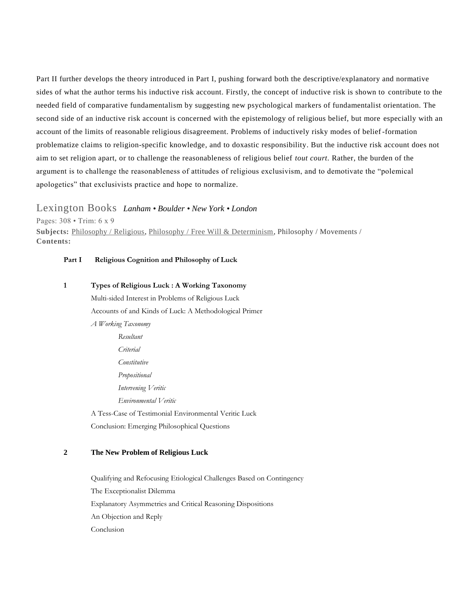Part II further develops the theory introduced in Part I, pushing forward both the descriptive/explanatory and normative sides of what the author terms his inductive risk account. Firstly, the concept of inductive risk is shown to contribute to the needed field of comparative fundamentalism by suggesting new psychological markers of fundamentalist orientation. The second side of an inductive risk account is concerned with the epistemology of religious belief, but more especially with an account of the limits of reasonable religious disagreement. Problems of inductively risky modes of belief -formation problematize claims to religion-specific knowledge, and to doxastic responsibility. But the inductive risk account does not aim to set religion apart, or to challenge the reasonableness of religious belief *tout court.* Rather, the burden of the argument is to challenge the reasonableness of attitudes of religious exclusivism, and to demotivate the "polemical apologetics" that exclusivists practice and hope to normalize.

#### Lexington Books *Lanham • Boulder • New York • London*

Pages: 308 • Trim: 6 x 9 **Subjects:** [Philosophy / Religious](https://rowman.com/Action/BISAC/_/PHI022000/Philosophy-Religious), [Philosophy / Free Will & Determinism](https://rowman.com/Action/BISAC/_/PHI007000/Philosophy-Free-Will-&-Determinism), Philosophy / Movements / **Contents:**

#### **Part I Religious Cognition and Philosophy of Luck**

**1 Types of Religious Luck : A Working Taxonomy** Multi-sided Interest in Problems of Religious Luck Accounts of and Kinds of Luck: A Methodological Primer *A Working Taxonomy Resultant Criterial Constitutive Propositional Intervening Veritic Environmental Veritic*

A Tess-Case of Testimonial Environmental Veritic Luck Conclusion: Emerging Philosophical Questions

#### **2 The New Problem of Religious Luck**

Qualifying and Refocusing Etiological Challenges Based on Contingency The Exceptionalist Dilemma Explanatory Asymmetries and Critical Reasoning Dispositions An Objection and Reply Conclusion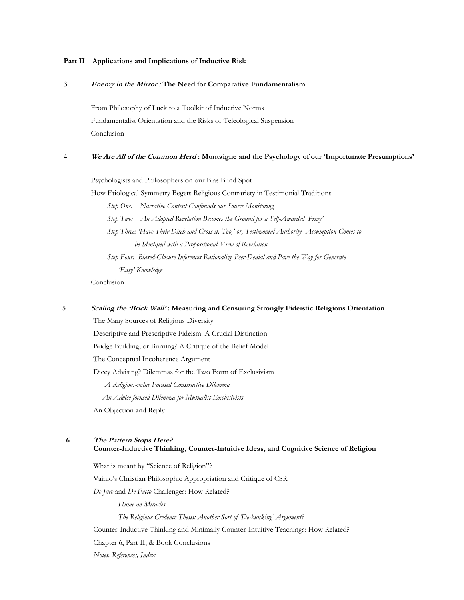#### **Part II Applications and Implications of Inductive Risk**

#### **3 Enemy in the Mirror : The Need for Comparative Fundamentalism**

From Philosophy of Luck to a Toolkit of Inductive Norms Fundamentalist Orientation and the Risks of Teleological Suspension Conclusion

#### **4 We Are All of the Common Herd : Montaigne and the Psychology of our 'Importunate Presumptions'**

Psychologists and Philosophers on our Bias Blind Spot How Etiological Symmetry Begets Religious Contrariety in Testimonial Traditions *Step One: Narrative Content Confounds our Source Monitoring Step Two: An Adopted Revelation Becomes the Ground for a Self-Awarded 'Prize' Step Three: 'Have Their Ditch and Cross it, Too,' or, Testimonial Authority Assumption Comes to be Identified with a Propositional View of Revelation Step Four: Biased-Closure Inferences Rationalize Peer-Denial and Pave the Way for Generate 'Easy' Knowledge*  Conclusion

#### **5 Scaling the 'Brick Wall' : Measuring and Censuring Strongly Fideistic Religious Orientation**

The Many Sources of Religious Diversity

Descriptive and Prescriptive Fideism: A Crucial Distinction

Bridge Building, or Burning? A Critique of the Belief Model

The Conceptual Incoherence Argument

Dicey Advising? Dilemmas for the Two Form of Exclusivism

 *A Religious-value Focused Constructive Dilemma*

 *An Advice-focused Dilemma for Mutualist Exclusivists*

An Objection and Reply

#### **6 The Pattern Stops Here?**

#### **Counter-Inductive Thinking, Counter-Intuitive Ideas, and Cognitive Science of Religion**

What is meant by "Science of Religion"? Vainio's Christian Philosophic Appropriation and Critique of CSR

*De Jure* and *De Facto* Challenges: How Related?

*Hume on Miracles*

*The Religious Credence Thesis: Another Sort of 'De-bunking' Argument?*

Counter-Inductive Thinking and Minimally Counter-Intuitive Teachings: How Related?

Chapter 6, Part II, & Book Conclusions

*Notes, References, Index*